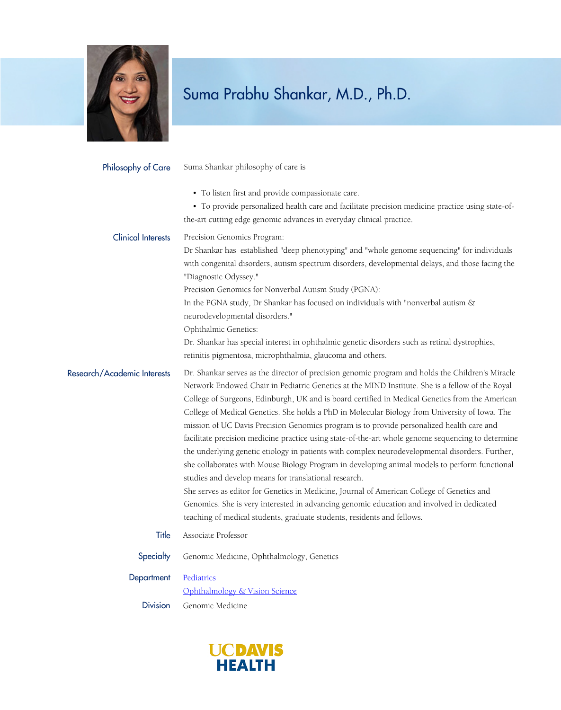

Suma Shankar philosophy of care is Philosophy of Care

• To listen first and provide compassionate care.

 • To provide personalized health care and facilitate precision medicine practice using state-ofthe-art cutting edge genomic advances in everyday clinical practice.

Precision Genomics Program: Clinical Interests

> Dr Shankar has established "deep phenotyping" and "whole genome sequencing" for individuals with congenital disorders, autism spectrum disorders, developmental delays, and those facing the "Diagnostic Odyssey."

Precision Genomics for Nonverbal Autism Study (PGNA):

In the PGNA study, Dr Shankar has focused on individuals with "nonverbal autism & neurodevelopmental disorders."

Ophthalmic Genetics:

Dr. Shankar has special interest in ophthalmic genetic disorders such as retinal dystrophies, retinitis pigmentosa, microphthalmia, glaucoma and others.

Research/Academic Interests

Dr. Shankar serves as the director of precision genomic program and holds the Children's Miracle Network Endowed Chair in Pediatric Genetics at the MIND Institute. She is a fellow of the Royal College of Surgeons, Edinburgh, UK and is board certified in Medical Genetics from the American College of Medical Genetics. She holds a PhD in Molecular Biology from University of Iowa. The mission of UC Davis Precision Genomics program is to provide personalized health care and facilitate precision medicine practice using state-of-the-art whole genome sequencing to determine the underlying genetic etiology in patients with complex neurodevelopmental disorders. Further, she collaborates with Mouse Biology Program in developing animal models to perform functional studies and develop means for translational research.

She serves as editor for Genetics in Medicine, Journal of American College of Genetics and Genomics. She is very interested in advancing genomic education and involved in dedicated teaching of medical students, graduate students, residents and fellows.

Title Associate Professor

Specialty Genomic Medicine, Ophthalmology, Genetics

Department [Pediatrics](https://www.ucdmc.ucdavis.edu/pediatrics/) [Ophthalmology & Vision Science](https://www.ucdmc.ucdavis.edu/eyecenter/) Division Genomic Medicine

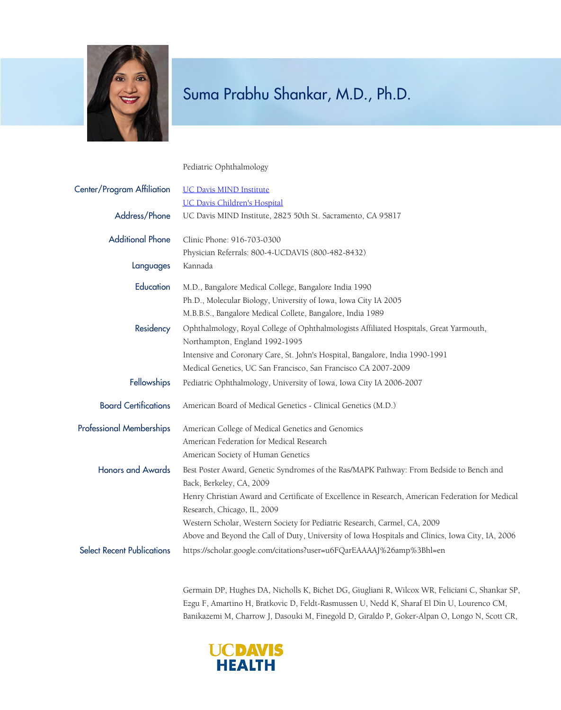

#### Pediatric Ophthalmology

| Center/Program Affiliation        | <b>UC Davis MIND Institute</b>                                                                                           |
|-----------------------------------|--------------------------------------------------------------------------------------------------------------------------|
|                                   | <b>UC Davis Children's Hospital</b>                                                                                      |
| Address/Phone                     | UC Davis MIND Institute, 2825 50th St. Sacramento, CA 95817                                                              |
| <b>Additional Phone</b>           | Clinic Phone: 916-703-0300                                                                                               |
|                                   | Physician Referrals: 800-4-UCDAVIS (800-482-8432)                                                                        |
| Languages                         | Kannada                                                                                                                  |
| Education                         | M.D., Bangalore Medical College, Bangalore India 1990                                                                    |
|                                   | Ph.D., Molecular Biology, University of Iowa, Iowa City IA 2005                                                          |
|                                   | M.B.B.S., Bangalore Medical Collete, Bangalore, India 1989                                                               |
| Residency                         | Ophthalmology, Royal College of Ophthalmologists Affiliated Hospitals, Great Yarmouth,<br>Northampton, England 1992-1995 |
|                                   | Intensive and Coronary Care, St. John's Hospital, Bangalore, India 1990-1991                                             |
|                                   | Medical Genetics, UC San Francisco, San Francisco CA 2007-2009                                                           |
| <b>Fellowships</b>                | Pediatric Ophthalmology, University of Iowa, Iowa City IA 2006-2007                                                      |
| <b>Board Certifications</b>       | American Board of Medical Genetics - Clinical Genetics (M.D.)                                                            |
| <b>Professional Memberships</b>   | American College of Medical Genetics and Genomics                                                                        |
|                                   | American Federation for Medical Research                                                                                 |
|                                   | American Society of Human Genetics                                                                                       |
| <b>Honors and Awards</b>          | Best Poster Award, Genetic Syndromes of the Ras/MAPK Pathway: From Bedside to Bench and<br>Back, Berkeley, CA, 2009      |
|                                   | Henry Christian Award and Certificate of Excellence in Research, American Federation for Medical                         |
|                                   | Research, Chicago, IL, 2009                                                                                              |
|                                   | Western Scholar, Western Society for Pediatric Research, Carmel, CA, 2009                                                |
|                                   |                                                                                                                          |
|                                   | Above and Beyond the Call of Duty, University of Iowa Hospitals and Clinics, Iowa City, IA, 2006                         |
| <b>Select Recent Publications</b> | https://scholar.google.com/citations?user=u6FQarEAAAAJ%26amp%3Bhl=en                                                     |
|                                   |                                                                                                                          |

Germain DP, Hughes DA, Nicholls K, Bichet DG, Giugliani R, Wilcox WR, Feliciani C, Shankar SP, Ezgu F, Amartino H, Bratkovic D, Feldt-Rasmussen U, Nedd K, Sharaf El Din U, Lourenco CM, Banikazemi M, Charrow J, Dasouki M, Finegold D, Giraldo P, Goker-Alpan O, Longo N, Scott CR,

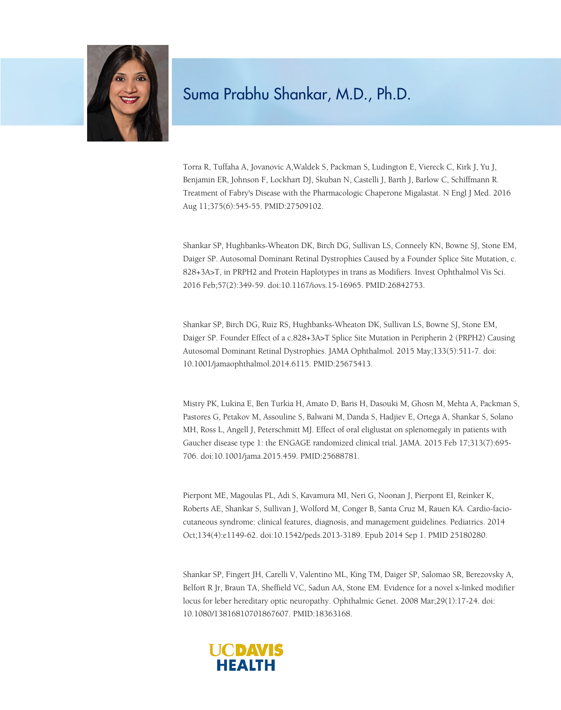

Torra R, Tuffaha A, Jovanovic A,Waldek S, Packman S, Ludington E, Viereck C, Kirk J, Yu J, Benjamin ER, Johnson F, Lockhart DJ, Skuban N, Castelli J, Barth J, Barlow C, Schiffmann R. Treatment of Fabry's Disease with the Pharmacologic Chaperone Migalastat. N Engl J Med. 2016 Aug 11;375(6):545-55. PMID:27509102.

Shankar SP, Hughbanks-Wheaton DK, Birch DG, Sullivan LS, Conneely KN, Bowne SJ, Stone EM, Daiger SP. Autosomal Dominant Retinal Dystrophies Caused by a Founder Splice Site Mutation, c. 828+3A>T, in PRPH2 and Protein Haplotypes in trans as Modifiers. Invest Ophthalmol Vis Sci. 2016 Feb;57(2):349-59. doi:10.1167/iovs.15-16965. PMID:26842753.

Shankar SP, Birch DG, Ruiz RS, Hughbanks-Wheaton DK, Sullivan LS, Bowne SJ, Stone EM, Daiger SP. Founder Effect of a c.828+3A>T Splice Site Mutation in Peripherin 2 (PRPH2) Causing Autosomal Dominant Retinal Dystrophies. JAMA Ophthalmol. 2015 May;133(5):511-7. doi: 10.1001/jamaophthalmol.2014.6115. PMID:25675413.

Mistry PK, Lukina E, Ben Turkia H, Amato D, Baris H, Dasouki M, Ghosn M, Mehta A, Packman S, Pastores G, Petakov M, Assouline S, Balwani M, Danda S, Hadjiev E, Ortega A, Shankar S, Solano MH, Ross L, Angell J, Peterschmitt MJ. Effect of oral eliglustat on splenomegaly in patients with Gaucher disease type 1: the ENGAGE randomized clinical trial. JAMA. 2015 Feb 17;313(7):695- 706. doi:10.1001/jama.2015.459. PMID:25688781.

Pierpont ME, Magoulas PL, Adi S, Kavamura MI, Neri G, Noonan J, Pierpont EI, Reinker K, Roberts AE, Shankar S, Sullivan J, Wolford M, Conger B, Santa Cruz M, Rauen KA. Cardio-faciocutaneous syndrome: clinical features, diagnosis, and management guidelines. Pediatrics. 2014 Oct;134(4):e1149-62. doi:10.1542/peds.2013-3189. Epub 2014 Sep 1. PMID 25180280.

Shankar SP, Fingert JH, Carelli V, Valentino ML, King TM, Daiger SP, Salomao SR, Berezovsky A, Belfort R Jr, Braun TA, Sheffield VC, Sadun AA, Stone EM. Evidence for a novel x-linked modifier locus for leber hereditary optic neuropathy. Ophthalmic Genet. 2008 Mar;29(1):17-24. doi: 10.1080/13816810701867607. PMID:18363168.